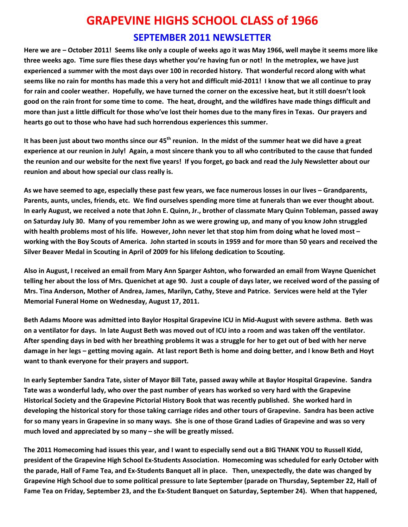## **GRAPEVINE HIGHS SCHOOL CLASS of 1966**

## **SEPTEMBER 2011 NEWSLETTER**

Here we are – October 2011! Seems like only a couple of weeks ago it was May 1966, well maybe it seems more like three weeks ago. Time sure flies these days whether you're having fun or not! In the metroplex, we have just experienced a summer with the most days over 100 in recorded history. That wonderful record along with what seems like no rain for months has made this a very hot and difficult mid-2011! I know that we all continue to pray for rain and cooler weather. Hopefully, we have turned the corner on the excessive heat, but it still doesn't look good on the rain front for some time to come. The heat, drought, and the wildfires have made things difficult and more than just a little difficult for those who've lost their homes due to the many fires in Texas. Our prayers and **hearts go out to those who have had such horrendous experiences this summer.**

It has been just about two months since our 45<sup>th</sup> reunion. In the midst of the summer heat we did have a great experience at our reunion in July! Again, a most sincere thank you to all who contributed to the cause that funded the reunion and our website for the next five years! If you forget, go back and read the July Newsletter about our **reunion and about how special our class really is.** 

As we have seemed to age, especially these past few years, we face numerous losses in our lives - Grandparents, Parents, aunts, uncles, friends, etc. We find ourselves spending more time at funerals than we ever thought about. In early August, we received a note that John E. Quinn, Jr., brother of classmate Mary Quinn Tobleman, passed away on Saturday July 30. Many of you remember John as we were growing up, and many of you know John struggled with health problems most of his life. However, John never let that stop him from doing what he loved most working with the Boy Scouts of America. John started in scouts in 1959 and for more than 50 years and received the **Silver Beaver Medal in Scouting in April of 2009 for his lifelong dedication to Scouting.**

Also in August, I received an email from Mary Ann Sparger Ashton, who forwarded an email from Wayne Quenichet telling her about the loss of Mrs. Quenichet at age 90. Just a couple of days later, we received word of the passing of Mrs. Tina Anderson, Mother of Andrea, James, Marilyn, Cathy, Steve and Patrice. Services were held at the Tyler **Memorial Funeral Home on Wednesday, August 17, 2011.**

Beth Adams Moore was admitted into Baylor Hospital Grapevine ICU in Mid-August with severe asthma. Beth was on a ventilator for days. In late August Beth was moved out of ICU into a room and was taken off the ventilator. After spending days in bed with her breathing problems it was a struggle for her to get out of bed with her nerve damage in her legs – getting moving again. At last report Beth is home and doing better, and I know Beth and Hoyt **want to thank everyone for their prayers and support.**

In early September Sandra Tate, sister of Mayor Bill Tate, passed away while at Baylor Hospital Grapevine. Sandra Tate was a wonderful lady, who over the past number of years has worked so very hard with the Grapevine Historical Society and the Grapevine Pictorial History Book that was recently published. She worked hard in developing the historical story for those taking carriage rides and other tours of Grapevine. Sandra has been active for so many years in Grapevine in so many ways. She is one of those Grand Ladies of Grapevine and was so very **much loved and appreciated by so many – she will be greatly missed.**

The 2011 Homecoming had issues this year, and I want to especially send out a BIG THANK YOU to Russell Kidd, president of the Grapevine High School Ex-Students Association. Homecoming was scheduled for early October with the parade, Hall of Fame Tea, and Ex-Students Banquet all in place. Then, unexpectedly, the date was changed by Grapevine High School due to some political pressure to late September (parade on Thursday, September 22, Hall of Fame Tea on Friday, September 23, and the Ex-Student Banguet on Saturday, September 24). When that happened,